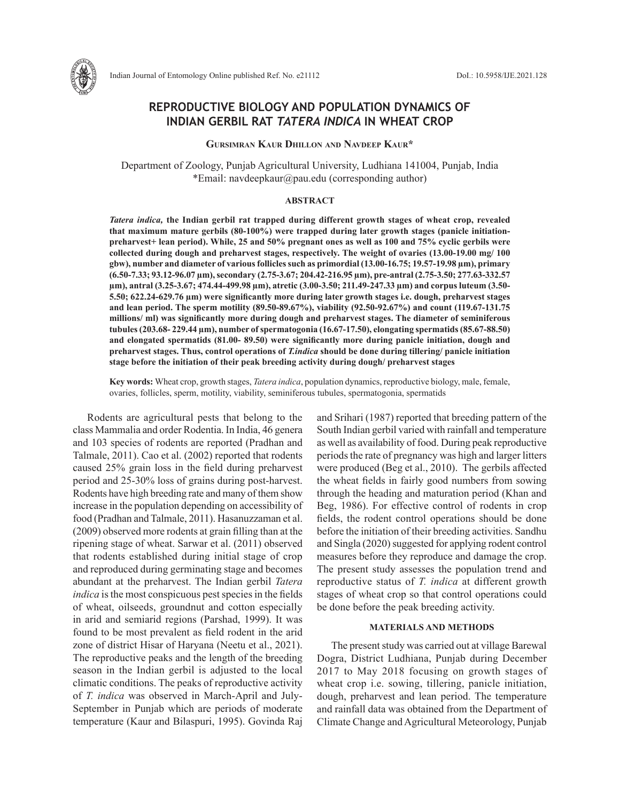

# **REPRODUCTIVE BIOLOGY AND POPULATION DYNAMICS OF INDIAN GERBIL RAT** *TATERA INDICA* **IN WHEAT CROP**

**Gursimran Kaur Dhillon and Navdeep Kaur\***

Department of Zoology, Punjab Agricultural University, Ludhiana 141004, Punjab, India \*Email: navdeepkaur@pau.edu (corresponding author)

## **ABSTRACT**

*Tatera indica,* **the Indian gerbil rat trapped during different growth stages of wheat crop, revealed that maximum mature gerbils (80-100%) were trapped during later growth stages (panicle initiationpreharvest+ lean period). While, 25 and 50% pregnant ones as well as 100 and 75% cyclic gerbils were collected during dough and preharvest stages, respectively. The weight of ovaries (13.00-19.00 mg/ 100 gbw), number and diameter of various follicles such as primordial (13.00-16.75; 19.57-19.98 µm), primary (6.50-7.33; 93.12-96.07 µm), secondary (2.75-3.67; 204.42-216.95 µm), pre-antral (2.75-3.50; 277.63-332.57 µm), antral (3.25-3.67; 474.44-499.98 µm), atretic (3.00-3.50; 211.49-247.33 µm) and corpus luteum (3.50- 5.50; 622.24-629.76 µm) were significantly more during later growth stages i.e. dough, preharvest stages and lean period. The sperm motility (89.50-89.67%), viability (92.50-92.67%) and count (119.67-131.75 millions/ ml) was significantly more during dough and preharvest stages. The diameter of seminiferous tubules (203.68- 229.44 µm), number of spermatogonia (16.67-17.50), elongating spermatids (85.67-88.50) and elongated spermatids (81.00- 89.50) were significantly more during panicle initiation, dough and preharvest stages. Thus, control operations of** *T.indica* **should be done during tillering/ panicle initiation stage before the initiation of their peak breeding activity during dough/ preharvest stages**

**Key words:** Wheat crop, growth stages, *Tatera indica*, population dynamics, reproductive biology, male, female, ovaries, follicles, sperm, motility, viability, seminiferous tubules, spermatogonia, spermatids

Rodents are agricultural pests that belong to the class Mammalia and order Rodentia. In India, 46 genera and 103 species of rodents are reported (Pradhan and Talmale, 2011). Cao et al. (2002) reported that rodents caused 25% grain loss in the field during preharvest period and 25-30% loss of grains during post-harvest. Rodents have high breeding rate and many of them show increase in the population depending on accessibility of food (Pradhan and Talmale, 2011). Hasanuzzaman et al. (2009) observed more rodents at grain filling than at the ripening stage of wheat. Sarwar et al. (2011) observed that rodents established during initial stage of crop and reproduced during germinating stage and becomes abundant at the preharvest. The Indian gerbil *Tatera indica* is the most conspicuous pest species in the fields of wheat, oilseeds, groundnut and cotton especially in arid and semiarid regions (Parshad, 1999). It was found to be most prevalent as field rodent in the arid zone of district Hisar of Haryana (Neetu et al., 2021). The reproductive peaks and the length of the breeding season in the Indian gerbil is adjusted to the local climatic conditions. The peaks of reproductive activity of *T. indica* was observed in March-April and July-September in Punjab which are periods of moderate temperature (Kaur and Bilaspuri, 1995). Govinda Raj and Srihari (1987) reported that breeding pattern of the South Indian gerbil varied with rainfall and temperature as well as availability of food. During peak reproductive periods the rate of pregnancy was high and larger litters were produced (Beg et al., 2010). The gerbils affected the wheat fields in fairly good numbers from sowing through the heading and maturation period (Khan and Beg, 1986). For effective control of rodents in crop fields, the rodent control operations should be done before the initiation of their breeding activities. Sandhu and Singla (2020) suggested for applying rodent control measures before they reproduce and damage the crop. The present study assesses the population trend and reproductive status of *T. indica* at different growth stages of wheat crop so that control operations could be done before the peak breeding activity.

## **MATERIALS AND METHODS**

The present study was carried out at village Barewal Dogra, District Ludhiana, Punjab during December 2017 to May 2018 focusing on growth stages of wheat crop i.e. sowing, tillering, panicle initiation, dough, preharvest and lean period. The temperature and rainfall data was obtained from the Department of Climate Change and Agricultural Meteorology, Punjab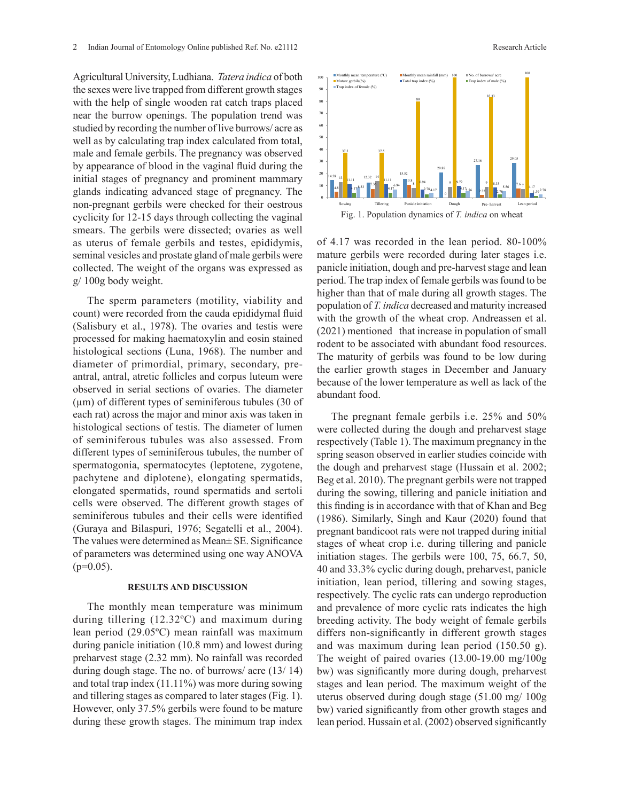Agricultural University, Ludhiana. *Tatera indica* of both the sexes were live trapped from different growth stages with the help of single wooden rat catch traps placed near the burrow openings. The population trend was studied by recording the number of live burrows/ acre as well as by calculating trap index calculated from total, male and female gerbils. The pregnancy was observed by appearance of blood in the vaginal fluid during the initial stages of pregnancy and prominent mammary glands indicating advanced stage of pregnancy. The non-pregnant gerbils were checked for their oestrous cyclicity for 12-15 days through collecting the vaginal smears. The gerbils were dissected; ovaries as well as uterus of female gerbils and testes, epididymis, seminal vesicles and prostate gland of male gerbils were collected. The weight of the organs was expressed as g/ 100g body weight.

The sperm parameters (motility, viability and count) were recorded from the cauda epididymal fluid (Salisbury et al., 1978). The ovaries and testis were processed for making haematoxylin and eosin stained histological sections (Luna, 1968). The number and diameter of primordial, primary, secondary, preantral, antral, atretic follicles and corpus luteum were observed in serial sections of ovaries. The diameter  $(\mu m)$  of different types of seminiferous tubules (30 of each rat) across the major and minor axis was taken in histological sections of testis. The diameter of lumen of seminiferous tubules was also assessed. From different types of seminiferous tubules, the number of spermatogonia, spermatocytes (leptotene, zygotene, pachytene and diplotene), elongating spermatids, elongated spermatids, round spermatids and sertoli cells were observed. The different growth stages of seminiferous tubules and their cells were identified (Guraya and Bilaspuri, 1976; Segatelli et al., 2004). The values were determined as Mean± SE. Significance of parameters was determined using one way ANOVA  $(p=0.05)$ .

#### **RESULTS AND DISCUSSION**

The monthly mean temperature was minimum during tillering (12.32ºC) and maximum during lean period (29.05ºC) mean rainfall was maximum during panicle initiation (10.8 mm) and lowest during preharvest stage (2.32 mm). No rainfall was recorded during dough stage. The no. of burrows/ acre (13/ 14) and total trap index (11.11%) was more during sowing and tillering stages as compared to later stages (Fig. 1). However, only 37.5% gerbils were found to be mature during these growth stages. The minimum trap index



of 4.17 was recorded in the lean period. 80-100% mature gerbils were recorded during later stages i.e. panicle initiation, dough and pre-harvest stage and lean period. The trap index of female gerbils was found to be higher than that of male during all growth stages. The population of *T. indica* decreased and maturity increased with the growth of the wheat crop. Andreassen et al. (2021) mentioned that increase in population of small 6 rodent to be associated with abundant food resources. The maturity of gerbils was found to be low during the earlier growth stages in December and January because of the lower temperature as well as lack of the abundant food.

The pregnant female gerbils i.e. 25% and 50% were collected during the dough and preharvest stage respectively (Table 1). The maximum pregnancy in the spring season observed in earlier studies coincide with the dough and preharvest stage (Hussain et al. 2002; Beg et al. 2010). The pregnant gerbils were not trapped during the sowing, tillering and panicle initiation and this finding is in accordance with that of Khan and Beg (1986). Similarly, Singh and Kaur (2020) found that pregnant bandicoot rats were not trapped during initial stages of wheat crop i.e. during tillering and panicle initiation stages. The gerbils were 100, 75, 66.7, 50, 40 and 33.3% cyclic during dough, preharvest, panicle initiation, lean period, tillering and sowing stages, respectively. The cyclic rats can undergo reproduction and prevalence of more cyclic rats indicates the high breeding activity. The body weight of female gerbils differs non-significantly in different growth stages and was maximum during lean period (150.50 g). The weight of paired ovaries (13.00-19.00 mg/100g bw) was significantly more during dough, preharvest stages and lean period. The maximum weight of the uterus observed during dough stage (51.00 mg/ 100g bw) varied significantly from other growth stages and lean period. Hussain et al. (2002) observed significantly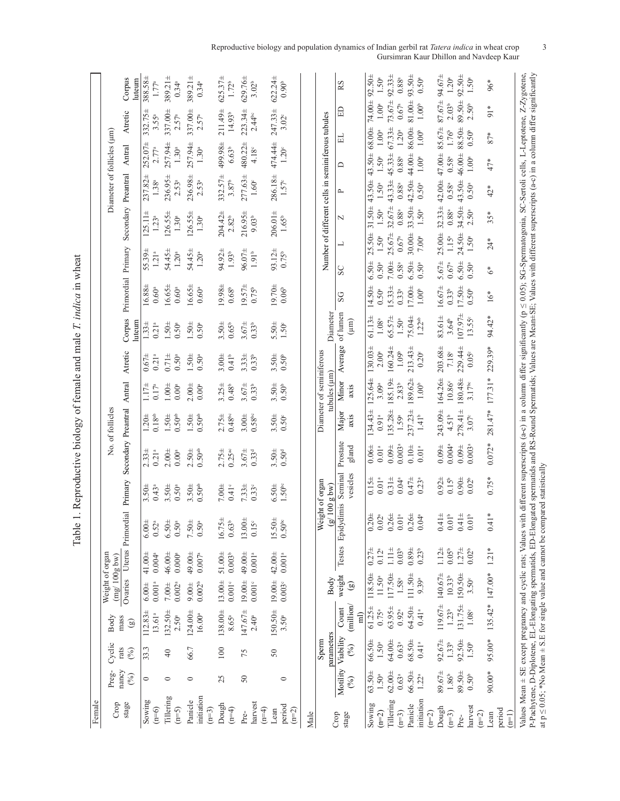| Female                           |                                             |                                       |                                                             |                                           |                                             |                                                                                                                                                                                                                                                                                                              |                                             |                                       |                                            |                                          |                                              |                                             |                                               |                                              |                                                                                |                                         |                                           |                                                            |                                                                                                                                         |
|----------------------------------|---------------------------------------------|---------------------------------------|-------------------------------------------------------------|-------------------------------------------|---------------------------------------------|--------------------------------------------------------------------------------------------------------------------------------------------------------------------------------------------------------------------------------------------------------------------------------------------------------------|---------------------------------------------|---------------------------------------|--------------------------------------------|------------------------------------------|----------------------------------------------|---------------------------------------------|-----------------------------------------------|----------------------------------------------|--------------------------------------------------------------------------------|-----------------------------------------|-------------------------------------------|------------------------------------------------------------|-----------------------------------------------------------------------------------------------------------------------------------------|
| Crop                             | Preg-                                       | Cyclic                                | Body                                                        | Weight of organ<br>$(mg/100g$ bw)         |                                             |                                                                                                                                                                                                                                                                                                              |                                             |                                       | No. of follicles                           |                                          |                                              |                                             |                                               |                                              |                                                                                | Diameter of follicles (µm)              |                                           |                                                            |                                                                                                                                         |
| stage                            | nancy<br>(%)                                | rats<br>(%)                           | mass<br>$\circledcirc$                                      |                                           |                                             | Ovaries Uterus Primordial Primary Secondary Preantral Antral                                                                                                                                                                                                                                                 |                                             |                                       |                                            |                                          | Atretic                                      | Corpus<br>uteun                             | Primordial Primary                            |                                              |                                                                                | Secondary Preantral                     | Antral                                    | Atretic                                                    | Corpus<br>luteum                                                                                                                        |
| Sowing<br>$(n=6)$                | $\circ$                                     | 33.3                                  | $112.83 \pm$<br>$13.61^{\rm a}$                             | $0.001^{\rm\,a}$<br>$6.00 +$              | $0.004^{a}$<br>$41.00 \pm$                  | 6.004<br>0.52 <sup>a</sup>                                                                                                                                                                                                                                                                                   | $3.50 +$<br>$0.43^{a}$                      | $0.21^{a}$<br>$2.33 \pm$              | $0.18^{\rm ab}$<br>$1.20 \pm$              | $0.17^{\rm a}$<br>$1.17 +$               | 0.21 <sup>a</sup><br>$0.67 +$                | $1.33 \pm$<br>0.21 <sup>a</sup>             | 16.88±<br>$0.60$ <sup>a</sup>                 | 55.39±<br>1.21 <sup>a</sup>                  | $125.11 \pm$<br>1.23 <sup>a</sup>                                              | 237.82±<br>$1.38^{a}$                   | $252.07\pm$<br>2.77 <sup>a</sup>          | $332.75 \pm$<br>3.55a                                      | 388.58±<br>1.77 <sup>a</sup>                                                                                                            |
| Tillering<br>$(n=5)$             | $\circ$                                     | $\overline{40}$                       | 132.50±<br>2.50 <sup>a</sup>                                | $0.002^\mathrm{a}$<br>$7.00\pm$           | 46.00±<br>$0.000\ensuremath{^\mathrm{a}}$   | $6.50 +$<br>0.50 <sup>a</sup>                                                                                                                                                                                                                                                                                | $3.50 +$<br>$0.50^{\rm a}$                  | $2.00 +$<br>0.00 <sup>a</sup>         | 0.50 <sup>ab</sup><br>$1.50 \pm$           | $1.00 \pm$<br>0.00 <sup>a</sup>          | $0.71 \pm$<br>$0.50^{a}$                     | $1.50 \pm$<br>0.50 <sup>a</sup>             | 16.65±<br>$0.60$ <sup>a</sup>                 | $54.45 \pm$<br>1.20 <sup>a</sup>             | $126.55 \pm$<br>1.30 <sup>a</sup>                                              | 236.95±<br>2.53a                        | 257.94±<br>1.30 <sup>a</sup>              | 337.00±<br>2.57 <sup>a</sup>                               | $389.21 \pm$<br>$0.34^{a}$                                                                                                              |
| initiation<br>Panicle<br>$(n=3)$ | $\circ$                                     | 66.7                                  | 124.00±<br>$16.00$ <sup>a</sup>                             | $0.002^{b}$<br>$9.00 \pm$                 | 49.00±<br>$0.007$ $^{\rm a}$                | $7.50 +$<br>$0.50^{a}$                                                                                                                                                                                                                                                                                       | $3.50 \pm$<br>$0.50$ <sup>ab</sup>          | $2.50 \pm$<br>0.50 <sup>ab</sup>      | $1.50 \pm$<br>0.50 <sup>ab</sup>           | $2.00 +$<br>$0.00$ <sup>a</sup>          | $1.50 \pm$<br>$0.50^{a}$                     | $1.50 \pm$<br>0.50 <sup>a</sup>             | $16.65 \pm$<br>$0.60^{a}$                     | $54.45 \pm$<br>1.20 <sup>a</sup>             | $126.55 \pm$<br>1.30 <sup>a</sup>                                              | 236.98±<br>$2.53^{a}$                   | 257.94±<br>1.30 <sup>a</sup>              | 337.00±<br>2.57 <sup>a</sup>                               | $389.21 \pm$<br>$0.34^{a}$                                                                                                              |
| Dough<br>$(n=4)$                 | 25                                          | 100                                   | 138.00±<br>$8.65^{\rm a}$                                   | 13.004<br>$0.001^{\circ}$                 | $51.00 \pm$<br>$0.003^{\rm b}$              | $16.75 \pm$<br>0.63 <sup>b</sup>                                                                                                                                                                                                                                                                             | $7.00\pm$<br>$0.41^{\circ}$                 | $0.25^{ac}$<br>$2.75 +$               | $0.48^{\rm bc}$<br>$2.75 +$                | $3.25 +$<br>$0.48^{b}$                   | $3.00 +$<br>$0.41^b$                         | $3.50 +$<br>0.65 <sup>b</sup>               | 19.98±<br>0.68 <sup>b</sup>                   | 94.92±<br>$1.93^{\mathrm{b}}$                | 204.42±<br>$2.82^{b}$                                                          | $332.57 \pm$<br>3.87 <sup>b</sup>       | 499.98±<br>6.63 <sup>b</sup>              | 211.49±<br>14.93 <sup>b</sup>                              | $525.37\pm$<br>$1.72^{b}$                                                                                                               |
| harvest<br>$(n=4)$<br>Pre-       | $50\,$                                      | 75                                    | $147.67 \pm$<br>$2.40^{\rm a}$                              | $19.00 +$<br>$0.001^{\circ}$              | 49.00±<br>$0.001$ <sup>a</sup>              | 13.00±<br>$0.15^{\circ}$                                                                                                                                                                                                                                                                                     | $7.33 \pm$<br>$0.33$ <sup>c</sup>           | $3.67 +$<br>0.33 <sup>d</sup>         | $3.00 +$<br>$0.58$ bc                      | $3.67 +$<br>$0.33^{b}$                   | $3.33 \pm$<br>$0.33^{b}$                     | $3.67 +$<br>$0.33^{b}$                      | $19.57 \pm$<br>$0.75^{b}$                     | $96.07 \pm$<br>1.91 <sup>b</sup>             | $216.95 \pm$<br>$9.03^{b}$                                                     | $277.63 \pm$<br>$1.60^{\circ}$          | $480.22 \pm$<br>4.18 <sup>c</sup>         | $223.34 \pm$<br>$2.44$ <sub>bc</sub>                       | 629.764<br>$3.02^{b}$                                                                                                                   |
| period<br>$(n=2)$<br>Lean        | $\circ$                                     | 50                                    | 150.50±<br>3.50 <sup>a</sup>                                | $19.00 +$<br>$0.003^{\circ}$              | 42.00±<br>$0.001^{\rm\,a}$                  | 15.50±<br>$0.50^{\rm bc}$                                                                                                                                                                                                                                                                                    | $6.50 \pm$<br>1.50 <sup>bc</sup>            | $3.50\pm$<br>0.50 <sup>d</sup>        | $3.50 +$<br>$0.50^{\circ}$                 | 3.50±<br>0.50 <sup>b</sup>               | $3.50 +$<br>0.50 <sup>b</sup>                | $5.50 \pm$<br>$1.50^{\circ}$                | 19.70±<br>0.06 <sup>b</sup>                   | 93.12±<br>$0.75^{b}$                         | $206.01 \pm$<br>$1.65^{b}$                                                     | 286.18±<br>$1.57^{\circ}$               | 474.44±<br>1.20 <sup>c</sup>              | $247.33 \pm$<br>$3.02^{\circ}$                             | $622.24 \pm$<br>0.90 <sup>b</sup>                                                                                                       |
| Male                             |                                             |                                       |                                                             |                                           |                                             |                                                                                                                                                                                                                                                                                                              |                                             |                                       |                                            |                                          |                                              |                                             |                                               |                                              |                                                                                |                                         |                                           |                                                            |                                                                                                                                         |
|                                  |                                             | parameters<br>Sperm                   |                                                             | Body                                      |                                             | Weight of organ<br>$(g/100 g$ bw)                                                                                                                                                                                                                                                                            |                                             |                                       |                                            | Diameter of seminiferous<br>tubules (um) |                                              | Diameter                                    |                                               |                                              | Number of different cells in seminiferous tubules                              |                                         |                                           |                                                            |                                                                                                                                         |
| stage<br>Crop                    | (%)                                         | Motility Viability<br>(%)             | (million/<br>Count<br>$\widehat{\mathbb{E}}$                | weight<br>$\odot$                         |                                             | Testes Epidydimis Seminal                                                                                                                                                                                                                                                                                    | vesicles                                    | Prostate<br>gland                     | Major<br>axis                              | Minor<br>axis                            | Average                                      | of lumen<br>$\binom{m}{k}$                  | SG                                            | <b>SC</b>                                    | N                                                                              | $\overline{\phantom{a}}$                | ≏                                         | ED<br>님                                                    | RS                                                                                                                                      |
| Tillering<br>Sowing<br>$(n=2)$   | $62.00\pm$<br>$63.50 \pm$<br>$1.50^{\rm a}$ | $64.00 +$<br>66.50±<br>$1.50^{\rm a}$ | $63.95 \pm$<br>$61.25 \pm$<br>$0.75^{a}$                    | 118.50±<br>$117.50\pm$<br>$11.50^{\rm a}$ | $1.11 \pm$<br>$0.27 +$<br>0.12 <sup>a</sup> | $0.20 \pm$<br>$0.26 +$<br>$0.02^{\rm a}$                                                                                                                                                                                                                                                                     | $0.31 \pm$<br>0.01 <sup>a</sup><br>$0.15 +$ | $0.09 +$<br>0.064<br>$0.01^{\rm \,a}$ | $135.28 \pm$<br>$134.43 \pm$<br>$0.91^{a}$ | 125.64±<br>185.19±<br>3.09 <sup>a</sup>  | 160.24±<br>$130.03 \pm$<br>2.00 <sup>a</sup> | $65.57\pm$<br>$61.13 \pm$<br>$1.08^{\rm a}$ | $15.33 \pm$<br>$14.50 +$<br>0.50 <sup>a</sup> | $7.00\pm$<br>$6.50 \pm$<br>0.50 <sup>a</sup> | $31.50 \pm$<br>$25.67 \pm 32.67 \pm$<br>$1.50^{a}$<br>25.50±<br>$1.50^{\rm a}$ | $43.33 \pm 45.33 \pm$<br>$1.50^{\rm a}$ | 43.50± 43.50± 68.00±<br>1.50 <sup>a</sup> | $1.00^{\rm a}$<br>$67.33 \pm$<br>$1.00^{\rm a}$            | $74.00 \pm 92.50 \pm$<br>$73.67 \pm 92.33 \pm$<br>1.50 <sup>a</sup>                                                                     |
| Panicle<br>$(n=3)$               | 66.50±<br>$0.63^{a}$                        | 68.50±<br>$0.63^{a}$                  | 64.50±<br>$0.92$ <sup>a</sup>                               | $111.50 +$<br>$1.58^{\rm a}$              | 0.03 <sup>b</sup><br>$0.89\pm$              | 0.26 <sub>±</sub><br>$0.01^{\rm a}$                                                                                                                                                                                                                                                                          | $0.47 +$<br>$0.04^{a}$                      | 0.003 <sup>a</sup><br>0.104           | 237.234<br>1.59ª                           | 189.62±<br>$2.83^{b}$                    | $213.43 \pm$<br>1.09 <sup>b</sup>            | 75.04±<br>$1.50^{\rm a}$                    | $17.00 +$<br>$0.33^{a}$                       | $6.50 \pm$<br>$0.58^{a}$                     | $33.50 +$<br>$0.88^{\rm a}$<br>30.00±<br>0.67 <sup>a</sup>                     | 42.50± 44.00±<br>$0.88^{\rm a}$         | $0.88^{\rm a}$                            | 81.00±<br>$0.67^{a}$<br>86.00±<br>1.20 <sup>a</sup>        | $93.50 \pm$<br>$0.88^{\rm a}$                                                                                                           |
| initiation<br>$(n=2)$            | 1.22 <sup>a</sup>                           | 0.41 <sup>a</sup>                     | $0.41$ <sup>a</sup>                                         | 9.39ª                                     | $0.23^{b}$                                  | 0.04 <sup>a</sup>                                                                                                                                                                                                                                                                                            | $0.23^{a}$                                  | 0.01 <sup>a</sup>                     | $1.41^b$                                   | $1.00^{\mathrm{b}}$                      | 0.20 <sup>c</sup>                            | 1.22 <sup>ab</sup>                          | $1.00^{\mathrm{b}}$                           | $0.50$ a                                     | 1.50 <sup>a</sup><br>7.00 <sup>a</sup>                                         | $0.50^{a}$                              | $1.00^{\rm a}$                            | 1.00 <sup>b</sup><br>$1.00^{\mathrm{b}}$                   | $0.50^{a}$                                                                                                                              |
| Dough<br>$(n=3)$                 | 89.67±<br>$1.86^{\mathrm{b}}$               | $92.67 \pm$<br>1.33 <sup>b</sup>      | 119.67±<br>$1.23^{b}$                                       | $140.67 +$<br>$10.33^{b}$                 | $1.12 +$<br>0.05 <sup>b</sup>               | $0.41 +$<br>$0.01^{\rm b}$                                                                                                                                                                                                                                                                                   | $0.92 +$<br>$0.15^{b}$                      | $0.004$ <sup>a</sup><br>$0.09 +$      | 243.09±<br>4.51 <sup>b</sup>               | 164.26±<br>10.86 <sup>c</sup>            | 203.68±<br>7.18 <sup>c</sup>                 | 83.61±<br>$3.64^{b}$                        | $16.67 \pm$<br>$0.33^{b}$                     | $5.67 \pm$<br>$0.67\mathrm{^a}$              | $32.33 \pm$<br>$0.88^{\rm a}$<br>25.00±<br>$1.15^{\rm a}$                      | 42.00± 47.00±<br>$0.58^{a}$             | 0.58 <sup>a</sup>                         | 87.67±<br>$2.03^{b}$<br>85.67±<br>$1.76^{\circ}$           | 94.67±<br>1.20 <sup>a</sup>                                                                                                             |
| harvest<br>$(n=2)$<br>Pre-       | 89.50±<br>0.50 <sup>b</sup>                 | $92.50 \pm$<br>1.50 <sup>b</sup>      | $131.75+$<br>$1.08^{\circ}$                                 | 150.50±<br>$3.50^{\circ}$                 | $1.27 +$<br>$0.02^{b}$                      | $0.41 +$<br>0.01 <sup>b</sup>                                                                                                                                                                                                                                                                                | $0.90+$<br>0.02 <sup>b</sup>                | $0.09 +$<br>0.003 <sup>a</sup>        | $278.41 \pm$<br>3.07 <sup>c</sup>          | 180.48±<br>$3.17$ <sup>bc</sup>          | 229.44±<br>$0.05^{\circ}$                    | $107.97 +$<br>13.55°                        | $17.50 \pm$<br>0.50 <sup>b</sup>              | $6.50 \pm$<br>$0.50$ a                       | 34.50±<br>2.50 <sup>a</sup><br>24.50±<br>1.50 <sup>a</sup>                     | 43.50± 46.00±<br>$0.50$ <sup>a</sup>    | 1.00 <sup>a</sup>                         | 89.50±<br>2.50 <sup>b</sup><br>88.50±<br>0.50 <sup>b</sup> | $92.50 \pm$<br>$1.50^{a}$                                                                                                               |
| period<br>Lean<br>$(n=1)$        | 90.00*                                      | 95.00*                                |                                                             | 135.42* 147.00*                           | $1.21*$                                     | $0.41*$                                                                                                                                                                                                                                                                                                      | $0.75*$                                     | $0.072*$                              |                                            | $281.47*177.31*$                         | 229.39*                                      | 94.42*                                      | 16*                                           | $\delta^*$                                   | $35*$<br>$24*$                                                                 | 42*                                     | $47*$                                     | $\frac{1}{2}$<br>$87*$                                     | $96*$                                                                                                                                   |
|                                  |                                             |                                       | P-Pachytene, D-Diplotene, EL-Elongating spermatids, ED-Elon |                                           |                                             | Values Mean $\pm$ SE except pregnancy and cyclic rats; Values with different superscripts (a-c) in a column differ significantly (p $\leq$ 0.05), SG-Spermatogonia, SC-Sertoli cells, L-Leptotene, Z-Zygotene,<br>at $p \le 0.05$ ; *No Mean $\pm$ S.E for single value and cannot be compared statistically |                                             |                                       |                                            |                                          |                                              |                                             |                                               |                                              |                                                                                |                                         |                                           |                                                            | gated spermatids and RS-Round Spermatids; Values are Mean±SE; Values with different superscripts (a-c) in a column differ significantly |

Table 1. Reproductive biology of female and male T. indica in wheat Table 1. Reproductive biology of female and male *T. indica* in wheat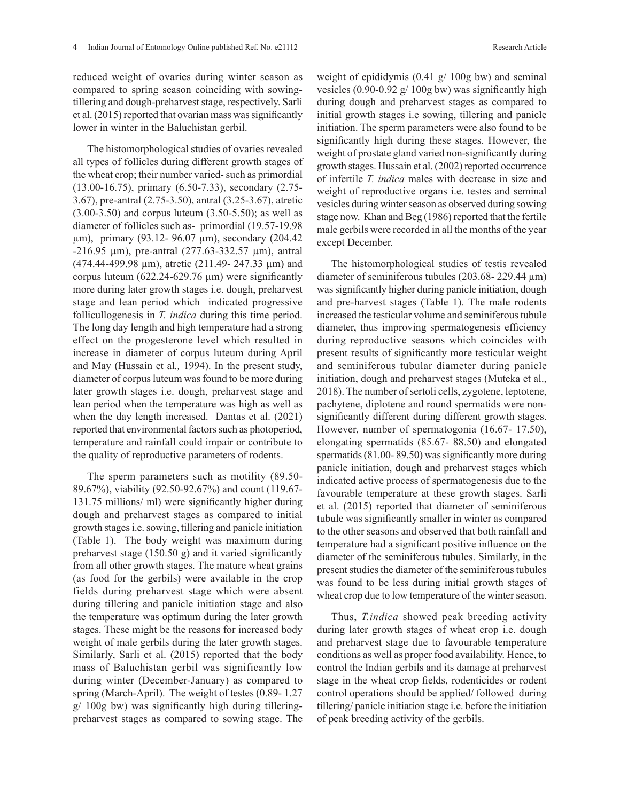reduced weight of ovaries during winter season as compared to spring season coinciding with sowingtillering and dough-preharvest stage, respectively. Sarli et al. (2015) reported that ovarian mass was significantly lower in winter in the Baluchistan gerbil.

The histomorphological studies of ovaries revealed all types of follicles during different growth stages of the wheat crop; their number varied- such as primordial (13.00-16.75), primary (6.50-7.33), secondary (2.75- 3.67), pre-antral (2.75-3.50), antral (3.25-3.67), atretic (3.00-3.50) and corpus luteum (3.50-5.50); as well as diameter of follicles such as- primordial (19.57-19.98 µm), primary (93.12- 96.07 µm), secondary (204.42 -216.95 µm), pre-antral (277.63-332.57 µm), antral (474.44-499.98 µm), atretic (211.49- 247.33 µm) and corpus luteum  $(622.24 - 629.76 \,\mu m)$  were significantly more during later growth stages i.e. dough, preharvest stage and lean period which indicated progressive follicullogenesis in *T. indica* during this time period. The long day length and high temperature had a strong effect on the progesterone level which resulted in increase in diameter of corpus luteum during April and May (Hussain et al*.,* 1994). In the present study, diameter of corpus luteum was found to be more during later growth stages i.e. dough, preharvest stage and lean period when the temperature was high as well as when the day length increased. Dantas et al. (2021) reported that environmental factors such as photoperiod, temperature and rainfall could impair or contribute to the quality of reproductive parameters of rodents.

The sperm parameters such as motility (89.50- 89.67%), viability (92.50-92.67%) and count (119.67- 131.75 millions/ ml) were significantly higher during dough and preharvest stages as compared to initial growth stages i.e. sowing, tillering and panicle initiation (Table 1). The body weight was maximum during preharvest stage (150.50 g) and it varied significantly from all other growth stages. The mature wheat grains (as food for the gerbils) were available in the crop fields during preharvest stage which were absent during tillering and panicle initiation stage and also the temperature was optimum during the later growth stages. These might be the reasons for increased body weight of male gerbils during the later growth stages. Similarly, Sarli et al. (2015) reported that the body mass of Baluchistan gerbil was significantly low during winter (December-January) as compared to spring (March-April). The weight of testes (0.89- 1.27 g/ 100g bw) was significantly high during tilleringpreharvest stages as compared to sowing stage. The weight of epididymis (0.41 g/ 100g bw) and seminal vesicles  $(0.90-0.92 \text{ g} / 100 \text{ g} \text{ bw})$  was significantly high during dough and preharvest stages as compared to initial growth stages i.e sowing, tillering and panicle initiation. The sperm parameters were also found to be significantly high during these stages. However, the weight of prostate gland varied non-significantly during growth stages. Hussain et al. (2002) reported occurrence of infertile *T. indica* males with decrease in size and weight of reproductive organs i.e. testes and seminal vesicles during winter season as observed during sowing stage now. Khan and Beg (1986) reported that the fertile male gerbils were recorded in all the months of the year except December.

The histomorphological studies of testis revealed diameter of seminiferous tubules (203.68- 229.44 µm) was significantly higher during panicle initiation, dough and pre-harvest stages (Table 1). The male rodents increased the testicular volume and seminiferous tubule diameter, thus improving spermatogenesis efficiency during reproductive seasons which coincides with present results of significantly more testicular weight and seminiferous tubular diameter during panicle initiation, dough and preharvest stages (Muteka et al., 2018). The number of sertoli cells, zygotene, leptotene, pachytene, diplotene and round spermatids were nonsignificantly different during different growth stages. However, number of spermatogonia (16.67- 17.50), elongating spermatids (85.67- 88.50) and elongated spermatids (81.00-89.50) was significantly more during panicle initiation, dough and preharvest stages which indicated active process of spermatogenesis due to the favourable temperature at these growth stages. Sarli et al. (2015) reported that diameter of seminiferous tubule was significantly smaller in winter as compared to the other seasons and observed that both rainfall and temperature had a significant positive influence on the diameter of the seminiferous tubules. Similarly, in the present studies the diameter of the seminiferous tubules was found to be less during initial growth stages of wheat crop due to low temperature of the winter season.

Thus, *T.indica* showed peak breeding activity during later growth stages of wheat crop i.e. dough and preharvest stage due to favourable temperature conditions as well as proper food availability. Hence, to control the Indian gerbils and its damage at preharvest stage in the wheat crop fields, rodenticides or rodent control operations should be applied/ followed during tillering/ panicle initiation stage i.e. before the initiation of peak breeding activity of the gerbils.